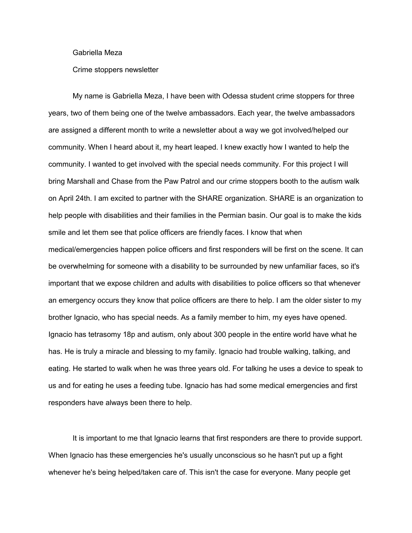## Gabriella Meza

## Crime stoppers newsletter

My name is Gabriella Meza, I have been with Odessa student crime stoppers for three years, two of them being one of the twelve ambassadors. Each year, the twelve ambassadors are assigned a different month to write a newsletter about a way we got involved/helped our community. When I heard about it, my heart leaped. I knew exactly how I wanted to help the community. I wanted to get involved with the special needs community. For this project I will bring Marshall and Chase from the Paw Patrol and our crime stoppers booth to the autism walk on April 24th. I am excited to partner with the SHARE organization. SHARE is an organization to help people with disabilities and their families in the Permian basin. Our goal is to make the kids smile and let them see that police officers are friendly faces. I know that when

medical/emergencies happen police officers and first responders will be first on the scene. It can be overwhelming for someone with a disability to be surrounded by new unfamiliar faces, so it's important that we expose children and adults with disabilities to police officers so that whenever an emergency occurs they know that police officers are there to help. I am the older sister to my brother Ignacio, who has special needs. As a family member to him, my eyes have opened. Ignacio has tetrasomy 18p and autism, only about 300 people in the entire world have what he has. He is truly a miracle and blessing to my family. Ignacio had trouble walking, talking, and eating. He started to walk when he was three years old. For talking he uses a device to speak to us and for eating he uses a feeding tube. Ignacio has had some medical emergencies and first responders have always been there to help.

It is important to me that Ignacio learns that first responders are there to provide support. When Ignacio has these emergencies he's usually unconscious so he hasn't put up a fight whenever he's being helped/taken care of. This isn't the case for everyone. Many people get